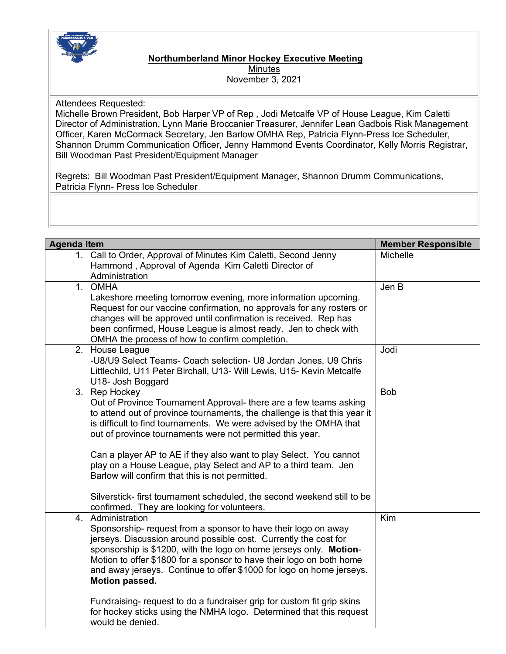

## **Northumberland Minor Hockey Executive Meeting Minutes** November 3, 2021

Attendees Requested:

Michelle Brown President, Bob Harper VP of Rep , Jodi Metcalfe VP of House League, Kim Caletti Director of Administration, Lynn Marie Broccanier Treasurer, Jennifer Lean Gadbois Risk Management Officer, Karen McCormack Secretary, Jen Barlow OMHA Rep, Patricia Flynn-Press Ice Scheduler, Shannon Drumm Communication Officer, Jenny Hammond Events Coordinator, Kelly Morris Registrar, Bill Woodman Past President/Equipment Manager

Regrets: Bill Woodman Past President/Equipment Manager, Shannon Drumm Communications, Patricia Flynn- Press Ice Scheduler

| <b>Agenda Item</b> |                                                                                                                                                                                                                                                                                                                                                                                                                                                                                                                                                                                                                            | <b>Member Responsible</b> |
|--------------------|----------------------------------------------------------------------------------------------------------------------------------------------------------------------------------------------------------------------------------------------------------------------------------------------------------------------------------------------------------------------------------------------------------------------------------------------------------------------------------------------------------------------------------------------------------------------------------------------------------------------------|---------------------------|
|                    | 1. Call to Order, Approval of Minutes Kim Caletti, Second Jenny<br>Hammond, Approval of Agenda Kim Caletti Director of<br>Administration                                                                                                                                                                                                                                                                                                                                                                                                                                                                                   | <b>Michelle</b>           |
|                    | 1. OMHA<br>Lakeshore meeting tomorrow evening, more information upcoming.<br>Request for our vaccine confirmation, no approvals for any rosters or<br>changes will be approved until confirmation is received. Rep has<br>been confirmed, House League is almost ready. Jen to check with<br>OMHA the process of how to confirm completion.                                                                                                                                                                                                                                                                                | Jen B                     |
|                    | 2. House League<br>-U8/U9 Select Teams- Coach selection- U8 Jordan Jones, U9 Chris<br>Littlechild, U11 Peter Birchall, U13- Will Lewis, U15- Kevin Metcalfe<br>U18- Josh Boggard                                                                                                                                                                                                                                                                                                                                                                                                                                           | Jodi                      |
|                    | 3. Rep Hockey<br>Out of Province Tournament Approval- there are a few teams asking<br>to attend out of province tournaments, the challenge is that this year it<br>is difficult to find tournaments. We were advised by the OMHA that<br>out of province tournaments were not permitted this year.<br>Can a player AP to AE if they also want to play Select. You cannot<br>play on a House League, play Select and AP to a third team. Jen<br>Barlow will confirm that this is not permitted.<br>Silverstick- first tournament scheduled, the second weekend still to be                                                  | <b>Bob</b>                |
|                    | confirmed. They are looking for volunteers.<br>4. Administration<br>Sponsorship- request from a sponsor to have their logo on away<br>jerseys. Discussion around possible cost. Currently the cost for<br>sponsorship is \$1200, with the logo on home jerseys only. Motion-<br>Motion to offer \$1800 for a sponsor to have their logo on both home<br>and away jerseys. Continue to offer \$1000 for logo on home jerseys.<br><b>Motion passed.</b><br>Fundraising- request to do a fundraiser grip for custom fit grip skins<br>for hockey sticks using the NMHA logo. Determined that this request<br>would be denied. | Kim                       |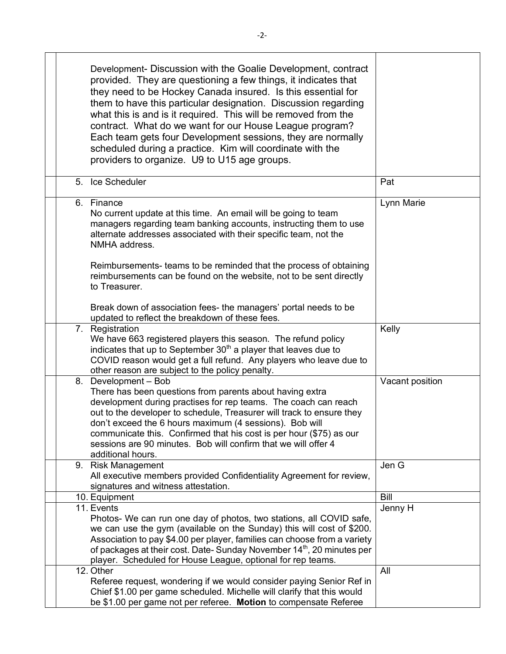|  | Development- Discussion with the Goalie Development, contract<br>provided. They are questioning a few things, it indicates that<br>they need to be Hockey Canada insured. Is this essential for<br>them to have this particular designation. Discussion regarding<br>what this is and is it required. This will be removed from the<br>contract. What do we want for our House League program?<br>Each team gets four Development sessions, they are normally<br>scheduled during a practice. Kim will coordinate with the<br>providers to organize. U9 to U15 age groups. |                 |
|--|----------------------------------------------------------------------------------------------------------------------------------------------------------------------------------------------------------------------------------------------------------------------------------------------------------------------------------------------------------------------------------------------------------------------------------------------------------------------------------------------------------------------------------------------------------------------------|-----------------|
|  | 5. Ice Scheduler                                                                                                                                                                                                                                                                                                                                                                                                                                                                                                                                                           | Pat             |
|  | 6. Finance<br>No current update at this time. An email will be going to team<br>managers regarding team banking accounts, instructing them to use<br>alternate addresses associated with their specific team, not the<br>NMHA address.<br>Reimbursements- teams to be reminded that the process of obtaining                                                                                                                                                                                                                                                               | Lynn Marie      |
|  | reimbursements can be found on the website, not to be sent directly<br>to Treasurer.<br>Break down of association fees- the managers' portal needs to be                                                                                                                                                                                                                                                                                                                                                                                                                   |                 |
|  | updated to reflect the breakdown of these fees.                                                                                                                                                                                                                                                                                                                                                                                                                                                                                                                            |                 |
|  | 7. Registration<br>We have 663 registered players this season. The refund policy<br>indicates that up to September 30 <sup>th</sup> a player that leaves due to<br>COVID reason would get a full refund. Any players who leave due to<br>other reason are subject to the policy penalty.                                                                                                                                                                                                                                                                                   | Kelly           |
|  | 8. Development - Bob<br>There has been questions from parents about having extra<br>development during practises for rep teams. The coach can reach<br>out to the developer to schedule, Treasurer will track to ensure they<br>don't exceed the 6 hours maximum (4 sessions). Bob will<br>communicate this. Confirmed that his cost is per hour (\$75) as our<br>sessions are 90 minutes. Bob will confirm that we will offer 4<br>additional hours.                                                                                                                      | Vacant position |
|  | 9. Risk Management                                                                                                                                                                                                                                                                                                                                                                                                                                                                                                                                                         | Jen G           |
|  | All executive members provided Confidentiality Agreement for review,<br>signatures and witness attestation.                                                                                                                                                                                                                                                                                                                                                                                                                                                                |                 |
|  | 10. Equipment                                                                                                                                                                                                                                                                                                                                                                                                                                                                                                                                                              | Bill            |
|  | 11. Events<br>Photos- We can run one day of photos, two stations, all COVID safe,<br>we can use the gym (available on the Sunday) this will cost of \$200.<br>Association to pay \$4.00 per player, families can choose from a variety<br>of packages at their cost. Date-Sunday November 14 <sup>th</sup> , 20 minutes per<br>player. Scheduled for House League, optional for rep teams.                                                                                                                                                                                 | Jenny H         |
|  | 12. Other<br>Referee request, wondering if we would consider paying Senior Ref in<br>Chief \$1.00 per game scheduled. Michelle will clarify that this would<br>be \$1.00 per game not per referee. Motion to compensate Referee                                                                                                                                                                                                                                                                                                                                            | All             |